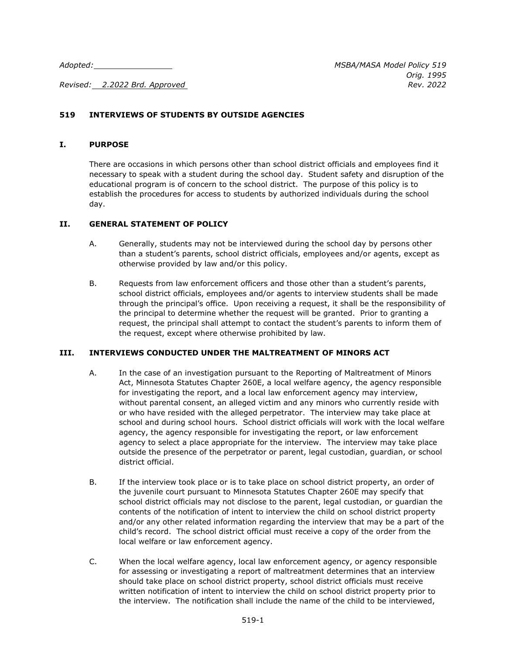*Revised: 2.2022 Brd. Approved Rev. 2022*

## **519 INTERVIEWS OF STUDENTS BY OUTSIDE AGENCIES**

## **I. PURPOSE**

There are occasions in which persons other than school district officials and employees find it necessary to speak with a student during the school day. Student safety and disruption of the educational program is of concern to the school district. The purpose of this policy is to establish the procedures for access to students by authorized individuals during the school day.

## **II. GENERAL STATEMENT OF POLICY**

- A. Generally, students may not be interviewed during the school day by persons other than a student's parents, school district officials, employees and/or agents, except as otherwise provided by law and/or this policy.
- B. Requests from law enforcement officers and those other than a student's parents, school district officials, employees and/or agents to interview students shall be made through the principal's office. Upon receiving a request, it shall be the responsibility of the principal to determine whether the request will be granted. Prior to granting a request, the principal shall attempt to contact the student's parents to inform them of the request, except where otherwise prohibited by law.

## **III. INTERVIEWS CONDUCTED UNDER THE MALTREATMENT OF MINORS ACT**

- A. In the case of an investigation pursuant to the Reporting of Maltreatment of Minors Act, Minnesota Statutes Chapter 260E, a local welfare agency, the agency responsible for investigating the report, and a local law enforcement agency may interview, without parental consent, an alleged victim and any minors who currently reside with or who have resided with the alleged perpetrator. The interview may take place at school and during school hours. School district officials will work with the local welfare agency, the agency responsible for investigating the report, or law enforcement agency to select a place appropriate for the interview. The interview may take place outside the presence of the perpetrator or parent, legal custodian, guardian, or school district official.
- B. If the interview took place or is to take place on school district property, an order of the juvenile court pursuant to Minnesota Statutes Chapter 260E may specify that school district officials may not disclose to the parent, legal custodian, or guardian the contents of the notification of intent to interview the child on school district property and/or any other related information regarding the interview that may be a part of the child's record. The school district official must receive a copy of the order from the local welfare or law enforcement agency.
- C. When the local welfare agency, local law enforcement agency, or agency responsible for assessing or investigating a report of maltreatment determines that an interview should take place on school district property, school district officials must receive written notification of intent to interview the child on school district property prior to the interview. The notification shall include the name of the child to be interviewed,